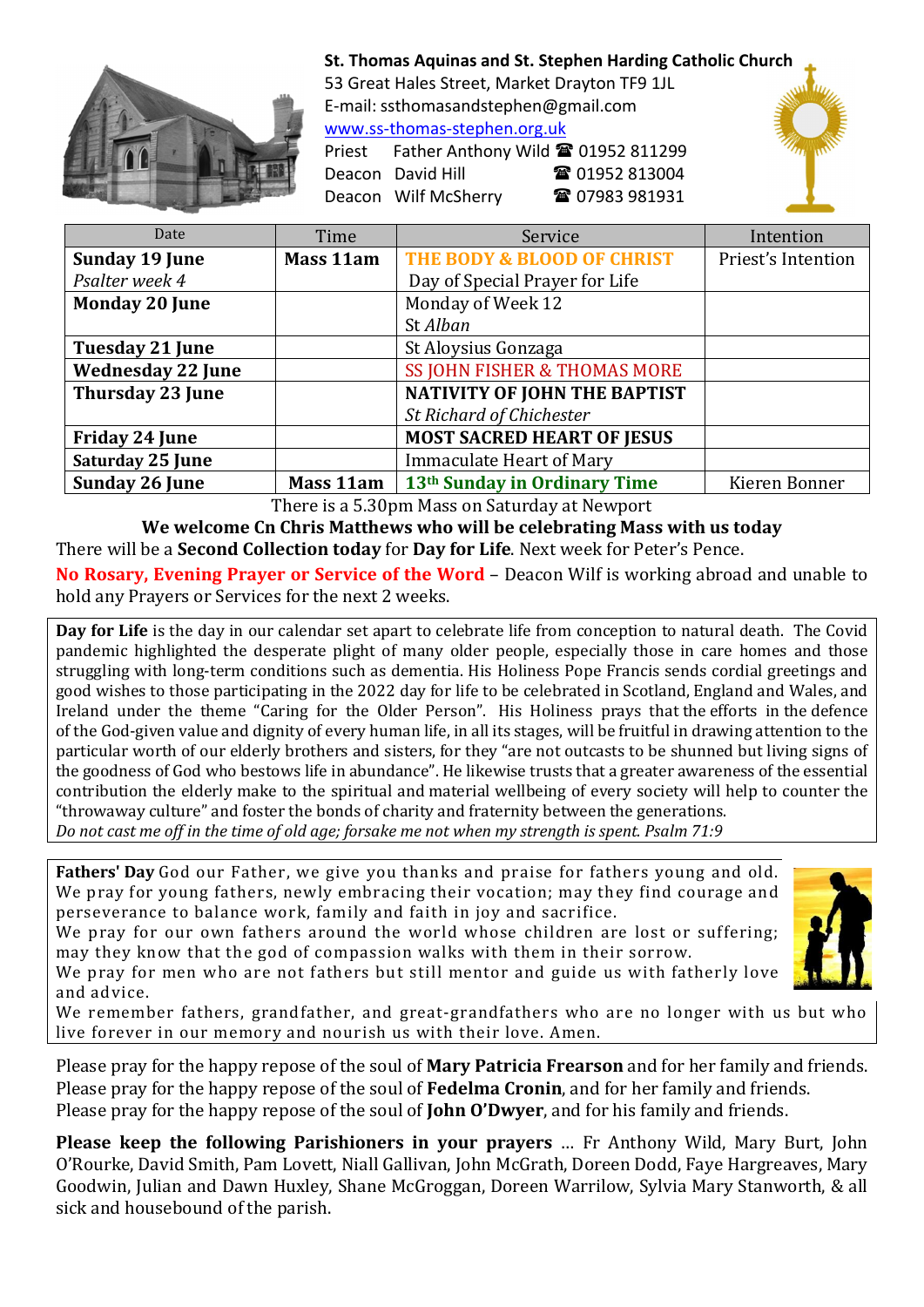

St. Thomas Aquinas and St. Stephen Harding Catholic Church

53 Great Hales Street, Market Drayton TF9 1JL E-mail: ssthomasandstephen@gmail.com www.ss-thomas-stephen.org.uk

Priest Father Anthony Wild <sup>2</sup> 01952 811299 Deacon David Hill **12 12 12 13004** Deacon Wilf McSherry  $\qquad \qquad \blacksquare$  07983 981931



| Date                     | Time      | Service                                  | Intention          |
|--------------------------|-----------|------------------------------------------|--------------------|
| <b>Sunday 19 June</b>    | Mass 11am | THE BODY & BLOOD OF CHRIST               | Priest's Intention |
| Psalter week 4           |           | Day of Special Prayer for Life           |                    |
| <b>Monday 20 June</b>    |           | Monday of Week 12                        |                    |
|                          |           | St Alban                                 |                    |
| <b>Tuesday 21 June</b>   |           | St Aloysius Gonzaga                      |                    |
| <b>Wednesday 22 June</b> |           | SS JOHN FISHER & THOMAS MORE             |                    |
| <b>Thursday 23 June</b>  |           | <b>NATIVITY OF JOHN THE BAPTIST</b>      |                    |
|                          |           | St Richard of Chichester                 |                    |
| <b>Friday 24 June</b>    |           | <b>MOST SACRED HEART OF JESUS</b>        |                    |
| Saturday 25 June         |           | <b>Immaculate Heart of Mary</b>          |                    |
| Sunday 26 June           | Mass 11am | 13 <sup>th</sup> Sunday in Ordinary Time | Kieren Bonner      |

There is a 5.30pm Mass on Saturday at Newport

We welcome Cn Chris Matthews who will be celebrating Mass with us today There will be a **Second Collection today** for **Day for Life**. Next week for Peter's Pence.

No Rosary, Evening Prayer or Service of the Word – Deacon Wilf is working abroad and unable to hold any Prayers or Services for the next 2 weeks.

Day for Life is the day in our calendar set apart to celebrate life from conception to natural death. The Covid pandemic highlighted the desperate plight of many older people, especially those in care homes and those struggling with long-term conditions such as dementia. His Holiness Pope Francis sends cordial greetings and good wishes to those participating in the 2022 day for life to be celebrated in Scotland, England and Wales, and Ireland under the theme "Caring for the Older Person". His Holiness prays that the efforts in the defence of the God-given value and dignity of every human life, in all its stages, will be fruitful in drawing attention to the particular worth of our elderly brothers and sisters, for they "are not outcasts to be shunned but living signs of the goodness of God who bestows life in abundance". He likewise trusts that a greater awareness of the essential contribution the elderly make to the spiritual and material wellbeing of every society will help to counter the "throwaway culture" and foster the bonds of charity and fraternity between the generations.

*Do not cast me off in the time of old age; forsake me not when my strength is spent. Psalm 71:9*

Fathers' Day God our Father, we give you thanks and praise for fathers young and old. We pray for young fathers, newly embracing their vocation; may they find courage and perseverance to balance work, family and faith in joy and sacrifice.

We pray for our own fathers around the world whose children are lost or suffering; may they know that the god of compassion walks with them in their sorrow.

We pray for men who are not fathers but still mentor and guide us with fatherly love and advice.



We remember fathers, grandfather, and great-grandfathers who are no longer with us but who live forever in our memory and nourish us with their love. Amen.

Please pray for the happy repose of the soul of **Mary Patricia Frearson** and for her family and friends. Please pray for the happy repose of the soul of **Fedelma Cronin**, and for her family and friends. Please pray for the happy repose of the soul of **John O'Dwyer**, and for his family and friends.

Please keep the following Parishioners in your prayers ... Fr Anthony Wild, Mary Burt, John O'Rourke, David Smith, Pam Lovett, Niall Gallivan, John McGrath, Doreen Dodd, Faye Hargreaves, Mary Goodwin, Julian and Dawn Huxley, Shane McGroggan, Doreen Warrilow, Sylvia Mary Stanworth, & all sick and housebound of the parish.